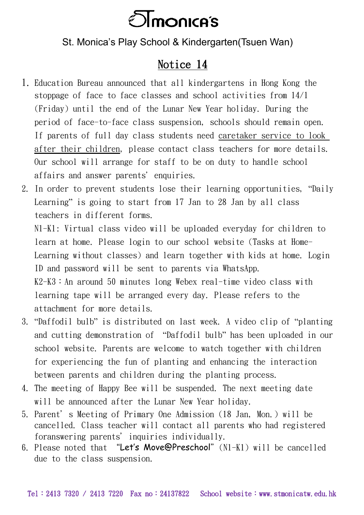

St. Monica's Play School & Kindergarten(Tsuen Wan)

## Notice 14

- 1. Education Bureau announced that all kindergartens in Hong Kong the stoppage of face to face classes and school activities from 14/1 (Friday) until the end of the Lunar New Year holiday. During the period of face-to-face class suspension, schools should remain open. If parents of full day class students need caretaker service to look after their children, please contact class teachers for more details. Our school will arrange for staff to be on duty to handle school affairs and answer parents' enquiries.
- 2. In order to prevent students lose their learning opportunities, "Daily Learning" is going to start from 17 Jan to 28 Jan by all class teachers in different forms.

N1-K1: Virtual class video will be uploaded everyday for children to learn at home. Please login to our school website (Tasks at Home-Learning without classes) and learn together with kids at home. Login ID and password will be sent to parents via WhatsApp. K2-K3:An around 50 minutes long Webex real-time video class with learning tape will be arranged every day. Please refers to the

attachment for more details.

- 3. "Daffodil bulb" is distributed on last week. A video clip of "planting and cutting demonstration of "Daffodil bulb" has been uploaded in our school website. Parents are welcome to watch together with children for experiencing the fun of planting and enhancing the interaction between parents and children during the planting process.
- 4. The meeting of Happy Bee will be suspended. The next meeting date will be announced after the Lunar New Year holiday.
- 5. Parent's Meeting of Primary One Admission (18 Jan, Mon.) will be cancelled. Class teacher will contact all parents who had registered foranswering parents' inquiries individually.
- 6. Please noted that "Let's Move@Preschool"(N1-K1) will be cancelled due to the class suspension.